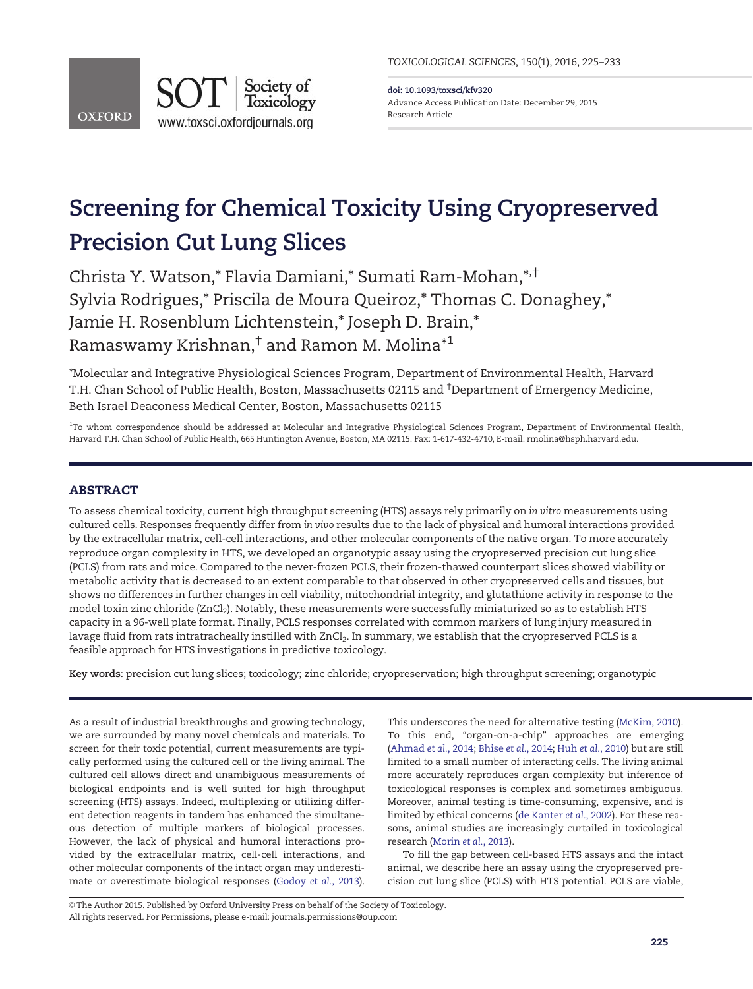

doi: 10.1093/toxsci/kfv320 Advance Access Publication Date: December 29, 2015 Research Article

# Screening for Chemical Toxicity Using Cryopreserved Precision Cut Lung Slices

Christa Y. Watson,\* Flavia Damiani,\* Sumati Ram-Mohan,\*,† Sylvia Rodrigues,\* Priscila de Moura Queiroz,\* Thomas C. Donaghey,\* Jamie H. Rosenblum Lichtenstein,\* Joseph D. Brain,\* Ramaswamy Krishnan,† and Ramon M. Molina\*1

\*Molecular and Integrative Physiological Sciences Program, Department of Environmental Health, Harvard T.H. Chan School of Public Health, Boston, Massachusetts 02115 and † Department of Emergency Medicine, Beth Israel Deaconess Medical Center, Boston, Massachusetts 02115

<sup>1</sup>To whom correspondence should be addressed at Molecular and Integrative Physiological Sciences Program, Department of Environmental Health, Harvard T.H. Chan School of Public Health, 665 Huntington Avenue, Boston, MA 02115. Fax: 1-617-432-4710, E-mail: rmolina@hsph.harvard.edu.

# ABSTRACT

To assess chemical toxicity, current high throughput screening (HTS) assays rely primarily on in vitro measurements using cultured cells. Responses frequently differ from in vivo results due to the lack of physical and humoral interactions provided by the extracellular matrix, cell-cell interactions, and other molecular components of the native organ. To more accurately reproduce organ complexity in HTS, we developed an organotypic assay using the cryopreserved precision cut lung slice (PCLS) from rats and mice. Compared to the never-frozen PCLS, their frozen-thawed counterpart slices showed viability or metabolic activity that is decreased to an extent comparable to that observed in other cryopreserved cells and tissues, but shows no differences in further changes in cell viability, mitochondrial integrity, and glutathione activity in response to the model toxin zinc chloride (ZnCl2). Notably, these measurements were successfully miniaturized so as to establish HTS capacity in a 96-well plate format. Finally, PCLS responses correlated with common markers of lung injury measured in lavage fluid from rats intratracheally instilled with ZnCl<sub>2</sub>. In summary, we establish that the cryopreserved PCLS is a feasible approach for HTS investigations in predictive toxicology.

Key words: precision cut lung slices; toxicology; zinc chloride; cryopreservation; high throughput screening; organotypic

As a result of industrial breakthroughs and growing technology, we are surrounded by many novel chemicals and materials. To screen for their toxic potential, current measurements are typically performed using the cultured cell or the living animal. The cultured cell allows direct and unambiguous measurements of biological endpoints and is well suited for high throughput screening (HTS) assays. Indeed, multiplexing or utilizing different detection reagents in tandem has enhanced the simultaneous detection of multiple markers of biological processes. However, the lack of physical and humoral interactions provided by the extracellular matrix, cell-cell interactions, and other molecular components of the intact organ may underestimate or overestimate biological responses ([Godoy](#page-7-0) et al., 2013). This underscores the need for alternative testing ([McKim, 2010](#page-7-0)). To this end, "organ-on-a-chip" approaches are emerging ([Ahmad](#page-7-0) et al., 2014; Bhise et al.[, 2014](#page-7-0); Huh et al.[, 2010](#page-7-0)) but are still limited to a small number of interacting cells. The living animal more accurately reproduces organ complexity but inference of toxicological responses is complex and sometimes ambiguous. Moreover, animal testing is time-consuming, expensive, and is limited by ethical concerns ([de Kanter](#page-7-0) et al., 2002). For these reasons, animal studies are increasingly curtailed in toxicological research [\(Morin](#page-7-0) et al., 2013).

To fill the gap between cell-based HTS assays and the intact animal, we describe here an assay using the cryopreserved precision cut lung slice (PCLS) with HTS potential. PCLS are viable,

© The Author 2015. Published by Oxford University Press on behalf of the Society of Toxicology. All rights reserved. For Permissions, please e-mail: journals.permissions@oup.com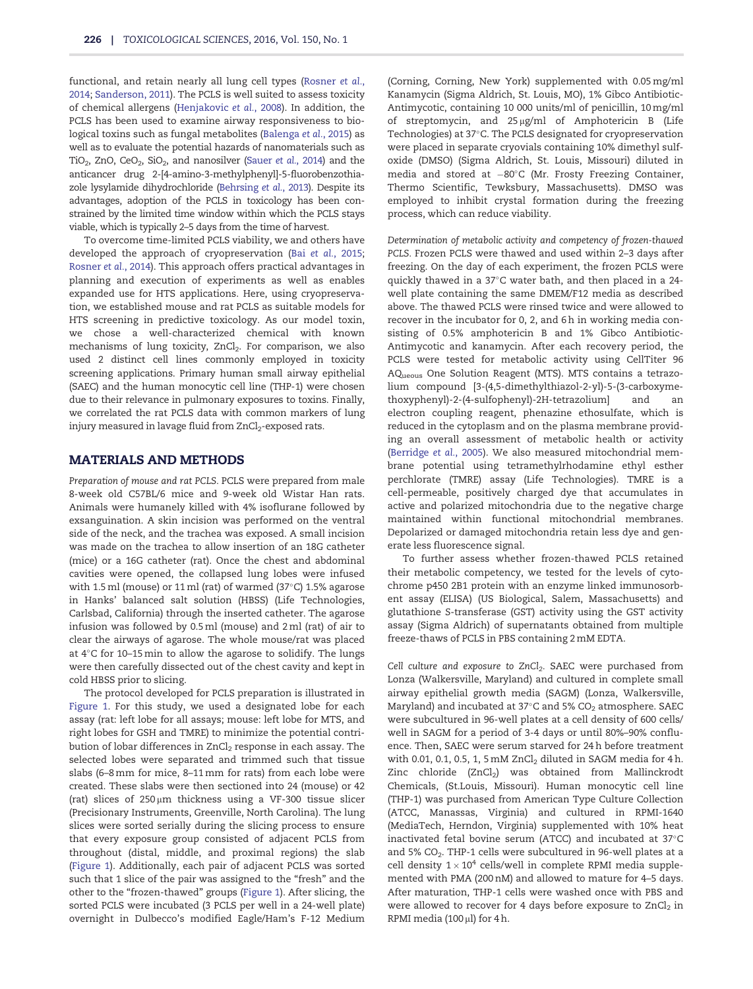functional, and retain nearly all lung cell types [\(Rosner](#page-8-0) et al., [2014](#page-8-0); [Sanderson, 2011\)](#page-8-0). The PCLS is well suited to assess toxicity of chemical allergens ([Henjakovic](#page-7-0) et al., 2008). In addition, the PCLS has been used to examine airway responsiveness to biological toxins such as fungal metabolites [\(Balenga](#page-7-0) et al., 2015) as well as to evaluate the potential hazards of nanomaterials such as TiO<sub>2</sub>, ZnO, CeO<sub>2</sub>, SiO<sub>2</sub>, and nanosilver (Sauer et al.[, 2014](#page-8-0)) and the anticancer drug 2-[4-amino-3-methylphenyl]-5-fluorobenzothiazole lysylamide dihydrochloride ([Behrsing](#page-7-0) et al., 2013). Despite its advantages, adoption of the PCLS in toxicology has been constrained by the limited time window within which the PCLS stays viable, which is typically 2–5 days from the time of harvest.

To overcome time-limited PCLS viability, we and others have developed the approach of cryopreservation (Bai et al.[, 2015;](#page-7-0) [Rosner](#page-8-0) et al., 2014). This approach offers practical advantages in planning and execution of experiments as well as enables expanded use for HTS applications. Here, using cryopreservation, we established mouse and rat PCLS as suitable models for HTS screening in predictive toxicology. As our model toxin, we chose a well-characterized chemical with known mechanisms of lung toxicity, ZnCl<sub>2</sub>. For comparison, we also used 2 distinct cell lines commonly employed in toxicity screening applications. Primary human small airway epithelial (SAEC) and the human monocytic cell line (THP-1) were chosen due to their relevance in pulmonary exposures to toxins. Finally, we correlated the rat PCLS data with common markers of lung injury measured in lavage fluid from ZnCl<sub>2</sub>-exposed rats.

## MATERIALS AND METHODS

Preparation of mouse and rat PCLS. PCLS were prepared from male 8-week old C57BL/6 mice and 9-week old Wistar Han rats. Animals were humanely killed with 4% isoflurane followed by exsanguination. A skin incision was performed on the ventral side of the neck, and the trachea was exposed. A small incision was made on the trachea to allow insertion of an 18G catheter (mice) or a 16G catheter (rat). Once the chest and abdominal cavities were opened, the collapsed lung lobes were infused with 1.5 ml (mouse) or 11 ml (rat) of warmed (37°C) 1.5% agarose in Hanks' balanced salt solution (HBSS) (Life Technologies, Carlsbad, California) through the inserted catheter. The agarose infusion was followed by 0.5 ml (mouse) and 2 ml (rat) of air to clear the airways of agarose. The whole mouse/rat was placed at 4°C for 10–15 min to allow the agarose to solidify. The lungs were then carefully dissected out of the chest cavity and kept in cold HBSS prior to slicing.

The protocol developed for PCLS preparation is illustrated in [Figure 1](#page-2-0). For this study, we used a designated lobe for each assay (rat: left lobe for all assays; mouse: left lobe for MTS, and right lobes for GSH and TMRE) to minimize the potential contribution of lobar differences in ZnCl<sub>2</sub> response in each assay. The selected lobes were separated and trimmed such that tissue slabs (6–8 mm for mice, 8–11 mm for rats) from each lobe were created. These slabs were then sectioned into 24 (mouse) or 42 (rat) slices of  $250 \mu m$  thickness using a VF-300 tissue slicer (Precisionary Instruments, Greenville, North Carolina). The lung slices were sorted serially during the slicing process to ensure that every exposure group consisted of adjacent PCLS from throughout (distal, middle, and proximal regions) the slab ([Figure 1\)](#page-2-0). Additionally, each pair of adjacent PCLS was sorted such that 1 slice of the pair was assigned to the "fresh" and the other to the "frozen-thawed" groups [\(Figure 1](#page-2-0)). After slicing, the sorted PCLS were incubated (3 PCLS per well in a 24-well plate) overnight in Dulbecco's modified Eagle/Ham's F-12 Medium

(Corning, Corning, New York) supplemented with 0.05 mg/ml Kanamycin (Sigma Aldrich, St. Louis, MO), 1% Gibco Antibiotic-Antimycotic, containing 10 000 units/ml of penicillin, 10 mg/ml of streptomycin, and 25µg/ml of Amphotericin B (Life Technologies) at 37-C. The PCLS designated for cryopreservation were placed in separate cryovials containing 10% dimethyl sulfoxide (DMSO) (Sigma Aldrich, St. Louis, Missouri) diluted in media and stored at –80°C (Mr. Frosty Freezing Container, Thermo Scientific, Tewksbury, Massachusetts). DMSO was employed to inhibit crystal formation during the freezing process, which can reduce viability.

Determination of metabolic activity and competency of frozen-thawed PCLS. Frozen PCLS were thawed and used within 2–3 days after freezing. On the day of each experiment, the frozen PCLS were quickly thawed in a 37-C water bath, and then placed in a 24 well plate containing the same DMEM/F12 media as described above. The thawed PCLS were rinsed twice and were allowed to recover in the incubator for 0, 2, and 6 h in working media consisting of 0.5% amphotericin B and 1% Gibco Antibiotic-Antimycotic and kanamycin. After each recovery period, the PCLS were tested for metabolic activity using CellTiter 96 AQueous One Solution Reagent (MTS). MTS contains a tetrazolium compound [3-(4,5-dimethylthiazol-2-yl)-5-(3-carboxymethoxyphenyl)-2-(4-sulfophenyl)-2H-tetrazolium] and an electron coupling reagent, phenazine ethosulfate, which is reduced in the cytoplasm and on the plasma membrane providing an overall assessment of metabolic health or activity ([Berridge](#page-7-0) et al., 2005). We also measured mitochondrial membrane potential using tetramethylrhodamine ethyl esther perchlorate (TMRE) assay (Life Technologies). TMRE is a cell-permeable, positively charged dye that accumulates in active and polarized mitochondria due to the negative charge maintained within functional mitochondrial membranes. Depolarized or damaged mitochondria retain less dye and generate less fluorescence signal.

To further assess whether frozen-thawed PCLS retained their metabolic competency, we tested for the levels of cytochrome p450 2B1 protein with an enzyme linked immunosorbent assay (ELISA) (US Biological, Salem, Massachusetts) and glutathione S-transferase (GST) activity using the GST activity assay (Sigma Aldrich) of supernatants obtained from multiple freeze-thaws of PCLS in PBS containing 2 mM EDTA.

Cell culture and exposure to ZnCl<sub>2</sub>. SAEC were purchased from Lonza (Walkersville, Maryland) and cultured in complete small airway epithelial growth media (SAGM) (Lonza, Walkersville, Maryland) and incubated at 37°C and 5% CO $_2$  atmosphere. SAEC were subcultured in 96-well plates at a cell density of 600 cells/ well in SAGM for a period of 3-4 days or until 80%–90% confluence. Then, SAEC were serum starved for 24 h before treatment with 0.01, 0.1, 0.5, 1, 5 mM  $ZnCl<sub>2</sub>$  diluted in SAGM media for 4 h. Zinc chloride (ZnCl<sub>2</sub>) was obtained from Mallinckrodt Chemicals, (St.Louis, Missouri). Human monocytic cell line (THP-1) was purchased from American Type Culture Collection (ATCC, Manassas, Virginia) and cultured in RPMI-1640 (MediaTech, Herndon, Virginia) supplemented with 10% heat inactivated fetal bovine serum (ATCC) and incubated at 37-C and 5% CO<sub>2</sub>. THP-1 cells were subcultured in 96-well plates at a cell density  $1 \times 10^4$  cells/well in complete RPMI media supplemented with PMA (200 nM) and allowed to mature for 4–5 days. After maturation, THP-1 cells were washed once with PBS and were allowed to recover for 4 days before exposure to  $ZnCl<sub>2</sub>$  in RPMI media (100  $\mu$ l) for 4 h.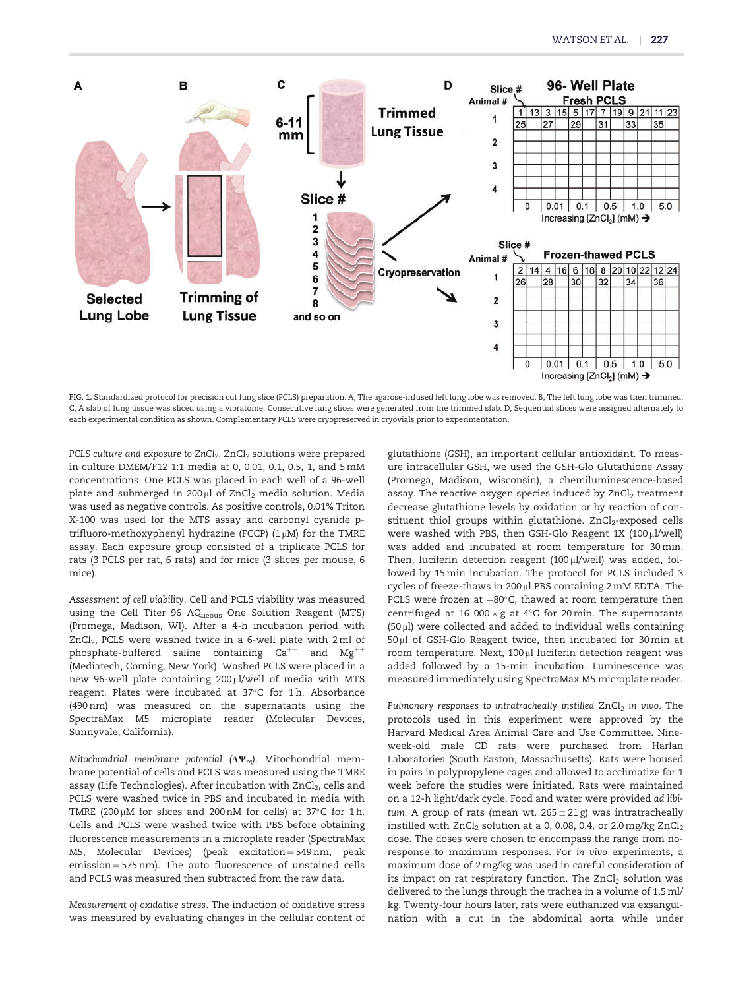<span id="page-2-0"></span>

FIG. 1. Standardized protocol for precision cut lung slice (PCLS) preparation. A, The agarose-infused left lung lobe was removed. B, The left lung lobe was then trimmed. C, A slab of lung tissue was sliced using a vibratome. Consecutive lung slices were generated from the trimmed slab. D, Sequential slices were assigned alternately to each experimental condition as shown. Complementary PCLS were cryopreserved in cryovials prior to experimentation.

PCLS culture and exposure to ZnCl<sub>2</sub>. ZnCl<sub>2</sub> solutions were prepared in culture DMEM/F12 1:1 media at 0, 0.01, 0.1, 0.5, 1, and 5 mM concentrations. One PCLS was placed in each well of a 96-well plate and submerged in 200 $\mu$ l of ZnCl<sub>2</sub> media solution. Media was used as negative controls. As positive controls, 0.01% Triton X-100 was used for the MTS assay and carbonyl cyanide ptrifluoro-methoxyphenyl hydrazine (FCCP)  $(1 \mu M)$  for the TMRE assay. Each exposure group consisted of a triplicate PCLS for rats (3 PCLS per rat, 6 rats) and for mice (3 slices per mouse, 6 mice).

Assessment of cell viability. Cell and PCLS viability was measured using the Cell Titer 96 AQueous One Solution Reagent (MTS) (Promega, Madison, WI). After a 4-h incubation period with  $ZnCl<sub>2</sub>$ , PCLS were washed twice in a 6-well plate with 2 ml of phosphate-buffered saline containing  $Ca^{++}$  and  $Mg^{++}$ (Mediatech, Corning, New York). Washed PCLS were placed in a new 96-well plate containing 200 µl/well of media with MTS reagent. Plates were incubated at 37°C for 1h. Absorbance (490 nm) was measured on the supernatants using the SpectraMax M5 microplate reader (Molecular Devices, Sunnyvale, California).

Mitochondrial membrane potential  $(\Delta \Psi_m)$ . Mitochondrial membrane potential of cells and PCLS was measured using the TMRE assay (Life Technologies). After incubation with ZnCl<sub>2</sub>, cells and PCLS were washed twice in PBS and incubated in media with TMRE (200  $\mu$ M for slices and 200 nM for cells) at 37°C for 1 h. Cells and PCLS were washed twice with PBS before obtaining fluorescence measurements in a microplate reader (SpectraMax M5, Molecular Devices) (peak excitation = 549 nm, peak  $emission = 575 nm$ ). The auto fluorescence of unstained cells and PCLS was measured then subtracted from the raw data.

Measurement of oxidative stress. The induction of oxidative stress was measured by evaluating changes in the cellular content of

glutathione (GSH), an important cellular antioxidant. To measure intracellular GSH, we used the GSH-Glo Glutathione Assay (Promega, Madison, Wisconsin), a chemiluminescence-based assay. The reactive oxygen species induced by  $ZnCl<sub>2</sub>$  treatment decrease glutathione levels by oxidation or by reaction of constituent thiol groups within glutathione. ZnCl<sub>2</sub>-exposed cells were washed with PBS, then GSH-Glo Reagent  $1X$  (100  $\mu$ l/well) was added and incubated at room temperature for 30 min. Then, luciferin detection reagent  $(100 \mu l/well)$  was added, followed by 15 min incubation. The protocol for PCLS included 3 cycles of freeze-thaws in  $200 \mu$ l PBS containing  $2 \text{ mM}$  EDTA. The PCLS were frozen at  $-80^{\circ}$ C, thawed at room temperature then centrifuged at 16 000  $\times$  g at 4°C for 20 min. The supernatants  $(50 \mu l)$  were collected and added to individual wells containing 50 ml of GSH-Glo Reagent twice, then incubated for 30 min at room temperature. Next, 100 µl luciferin detection reagent was added followed by a 15-min incubation. Luminescence was measured immediately using SpectraMax M5 microplate reader.

Pulmonary responses to intratracheally instilled  $ZnCl<sub>2</sub>$  in vivo. The protocols used in this experiment were approved by the Harvard Medical Area Animal Care and Use Committee. Nineweek-old male CD rats were purchased from Harlan Laboratories (South Easton, Massachusetts). Rats were housed in pairs in polypropylene cages and allowed to acclimatize for 1 week before the studies were initiated. Rats were maintained on a 12-h light/dark cycle. Food and water were provided ad libitum. A group of rats (mean wt.  $265 \pm 21$  g) was intratracheally instilled with  $ZnCl<sub>2</sub>$  solution at a 0, 0.08, 0.4, or 2.0 mg/kg  $ZnCl<sub>2</sub>$ dose. The doses were chosen to encompass the range from noresponse to maximum responses. For in vivo experiments, a maximum dose of 2 mg/kg was used in careful consideration of its impact on rat respiratory function. The  $ZnCl<sub>2</sub>$  solution was delivered to the lungs through the trachea in a volume of 1.5 ml/ kg. Twenty-four hours later, rats were euthanized via exsanguination with a cut in the abdominal aorta while under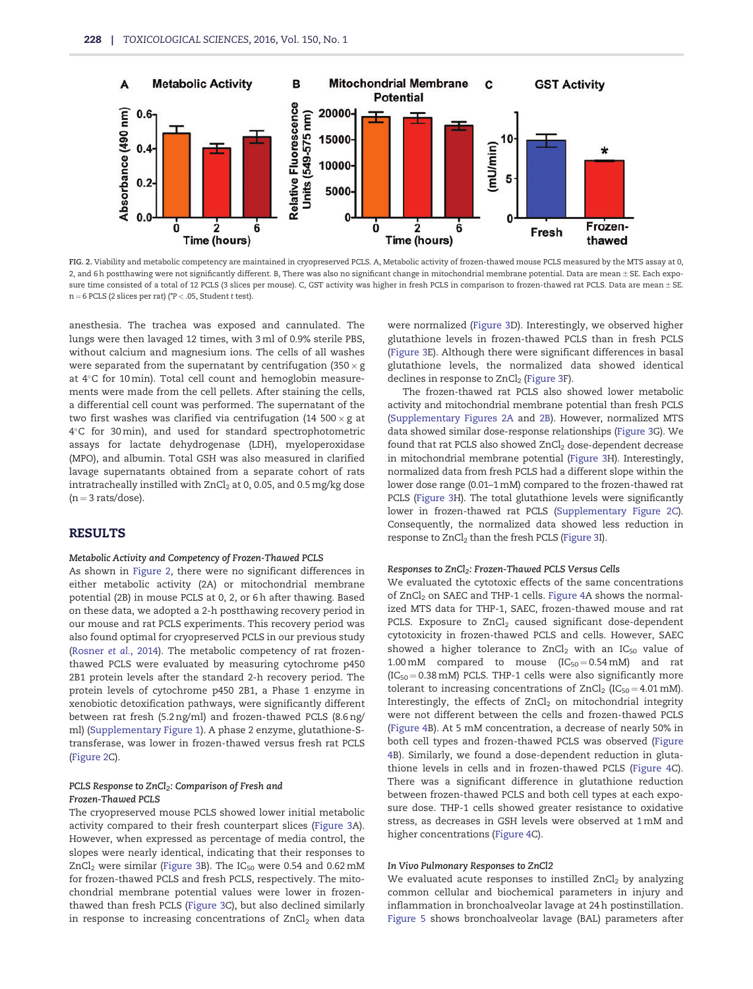

FIG. 2. Viability and metabolic competency are maintained in cryopreserved PCLS. A, Metabolic activity of frozen-thawed mouse PCLS measured by the MTS assay at 0, 2, and 6h postthawing were not significantly different. B, There was also no significant change in mitochondrial membrane potential. Data are mean ± SE. Each exposure time consisted of a total of 12 PCLS (3 slices per mouse). C, GST activity was higher in fresh PCLS in comparison to frozen-thawed rat PCLS. Data are mean ± SE.  $n = 6$  PCLS (2 slices per rat) (\* $P < .05$ , Student t test).

anesthesia. The trachea was exposed and cannulated. The lungs were then lavaged 12 times, with 3 ml of 0.9% sterile PBS, without calcium and magnesium ions. The cells of all washes were separated from the supernatant by centrifugation  $(350 \times g)$ at 4°C for 10 min). Total cell count and hemoglobin measurements were made from the cell pellets. After staining the cells, a differential cell count was performed. The supernatant of the two first washes was clarified via centrifugation (14 500  $\times$  g at 4-C for 30 min), and used for standard spectrophotometric assays for lactate dehydrogenase (LDH), myeloperoxidase (MPO), and albumin. Total GSH was also measured in clarified lavage supernatants obtained from a separate cohort of rats intratracheally instilled with  $ZnCl<sub>2</sub>$  at 0, 0.05, and 0.5 mg/kg dose  $(n = 3$  rats/dose).

## RESULTS

## Metabolic Activity and Competency of Frozen-Thawed PCLS

As shown in Figure 2, there were no significant differences in either metabolic activity (2A) or mitochondrial membrane potential (2B) in mouse PCLS at 0, 2, or 6 h after thawing. Based on these data, we adopted a 2-h postthawing recovery period in our mouse and rat PCLS experiments. This recovery period was also found optimal for cryopreserved PCLS in our previous study ([Rosner](#page-8-0) et al., 2014). The metabolic competency of rat frozenthawed PCLS were evaluated by measuring cytochrome p450 2B1 protein levels after the standard 2-h recovery period. The protein levels of cytochrome p450 2B1, a Phase 1 enzyme in xenobiotic detoxification pathways, were significantly different between rat fresh (5.2 ng/ml) and frozen-thawed PCLS (8.6 ng/ ml) [\(Supplementary Figure 1\)](http://toxsci.oxfordjournals.org/lookup/suppl/doi:10.1093/toxsci/kfv320/-/DC1). A phase 2 enzyme, glutathione-Stransferase, was lower in frozen-thawed versus fresh rat PCLS (Figure 2C).

### PCLS Response to ZnCl<sub>2</sub>: Comparison of Fresh and Frozen-Thawed PCLS

The cryopreserved mouse PCLS showed lower initial metabolic activity compared to their fresh counterpart slices ([Figure 3A](#page-4-0)). However, when expressed as percentage of media control, the slopes were nearly identical, indicating that their responses to  $ZnCl<sub>2</sub>$  were similar [\(Figure 3B](#page-4-0)). The  $IC<sub>50</sub>$  were 0.54 and 0.62 mM for frozen-thawed PCLS and fresh PCLS, respectively. The mitochondrial membrane potential values were lower in frozenthawed than fresh PCLS ([Figure 3](#page-4-0)C), but also declined similarly in response to increasing concentrations of  $ZnCl<sub>2</sub>$  when data

were normalized [\(Figure 3D](#page-4-0)). Interestingly, we observed higher glutathione levels in frozen-thawed PCLS than in fresh PCLS ([Figure 3](#page-4-0)E). Although there were significant differences in basal glutathione levels, the normalized data showed identical declines in response to  $ZnCl<sub>2</sub>$  ([Figure 3F](#page-4-0)).

The frozen-thawed rat PCLS also showed lower metabolic activity and mitochondrial membrane potential than fresh PCLS ([Supplementary Figures 2A](http://toxsci.oxfordjournals.org/lookup/suppl/doi:10.1093/toxsci/kfv320/-/DC1) and [2B](http://toxsci.oxfordjournals.org/lookup/suppl/doi:10.1093/toxsci/kfv320/-/DC1)). However, normalized MTS data showed similar dose-response relationships [\(Figure 3G](#page-4-0)). We found that rat PCLS also showed ZnCl<sub>2</sub> dose-dependent decrease in mitochondrial membrane potential [\(Figure 3](#page-4-0)H). Interestingly, normalized data from fresh PCLS had a different slope within the lower dose range (0.01–1 mM) compared to the frozen-thawed rat PCLS [\(Figure 3H](#page-4-0)). The total glutathione levels were significantly lower in frozen-thawed rat PCLS [\(Supplementary Figure 2C](http://toxsci.oxfordjournals.org/lookup/suppl/doi:10.1093/toxsci/kfv320/-/DC1)). Consequently, the normalized data showed less reduction in response to ZnCl<sub>2</sub> than the fresh PCLS ([Figure 3I](#page-4-0)).

#### Responses to ZnCl<sub>2</sub>: Frozen-Thawed PCLS Versus Cells

We evaluated the cytotoxic effects of the same concentrations of ZnCl<sub>2</sub> on SAEC and THP-1 cells. [Figure 4A](#page-5-0) shows the normalized MTS data for THP-1, SAEC, frozen-thawed mouse and rat PCLS. Exposure to ZnCl<sub>2</sub> caused significant dose-dependent cytotoxicity in frozen-thawed PCLS and cells. However, SAEC showed a higher tolerance to  $ZnCl<sub>2</sub>$  with an IC<sub>50</sub> value of 1.00 mM compared to mouse  $(IC_{50} = 0.54 \text{ mM})$  and rat  $(IC_{50} = 0.38$  mM) PCLS. THP-1 cells were also significantly more tolerant to increasing concentrations of  $ZnCl<sub>2</sub> (IC<sub>50</sub> = 4.01 mM).$ Interestingly, the effects of  $ZnCl<sub>2</sub>$  on mitochondrial integrity were not different between the cells and frozen-thawed PCLS ([Figure 4](#page-5-0)B). At 5 mM concentration, a decrease of nearly 50% in both cell types and frozen-thawed PCLS was observed ([Figure](#page-5-0) [4B](#page-5-0)). Similarly, we found a dose-dependent reduction in glutathione levels in cells and in frozen-thawed PCLS ([Figure 4](#page-5-0)C). There was a significant difference in glutathione reduction between frozen-thawed PCLS and both cell types at each exposure dose. THP-1 cells showed greater resistance to oxidative stress, as decreases in GSH levels were observed at 1 mM and higher concentrations ([Figure 4](#page-5-0)C).

#### In Vivo Pulmonary Responses to ZnCl2

We evaluated acute responses to instilled  $ZnCl<sub>2</sub>$  by analyzing common cellular and biochemical parameters in injury and inflammation in bronchoalveolar lavage at 24 h postinstillation. [Figure 5](#page-6-0) shows bronchoalveolar lavage (BAL) parameters after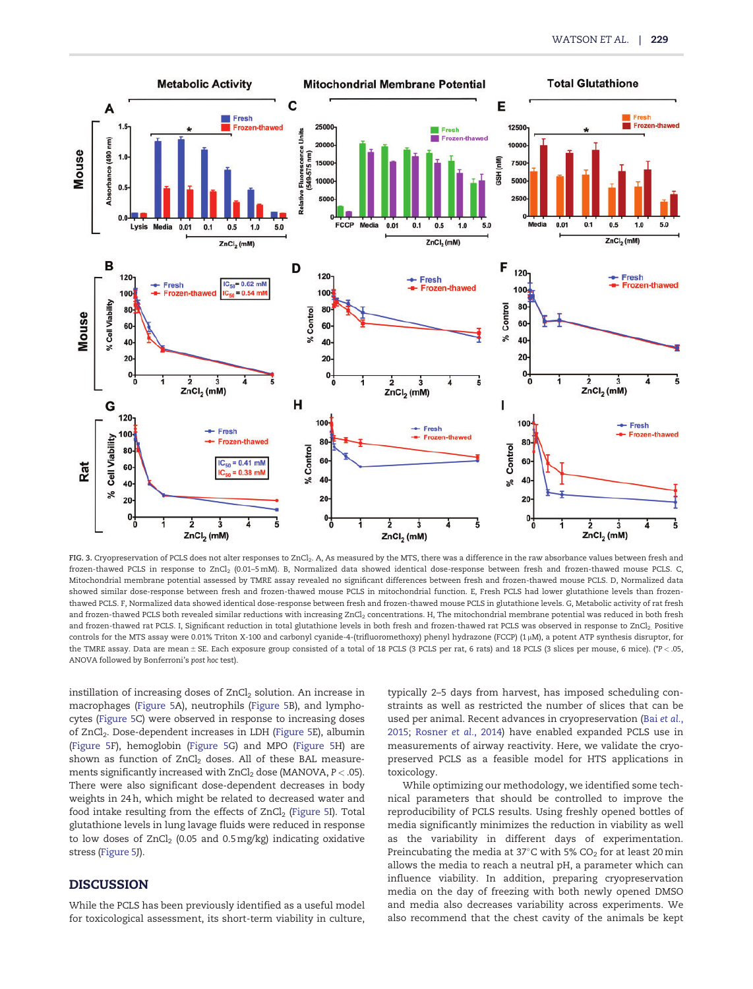<span id="page-4-0"></span>

FIG. 3. Cryopreservation of PCLS does not alter responses to ZnCl<sub>2</sub>. A, As measured by the MTS, there was a difference in the raw absorbance values between fresh and frozen-thawed PCLS in response to ZnCl<sub>2</sub> (0.01-5 mM). B, Normalized data showed identical dose-response between fresh and frozen-thawed mouse PCLS. C, Mitochondrial membrane potential assessed by TMRE assay revealed no significant differences between fresh and frozen-thawed mouse PCLS. D, Normalized data showed similar dose-response between fresh and frozen-thawed mouse PCLS in mitochondrial function. E, Fresh PCLS had lower glutathione levels than frozenthawed PCLS. F, Normalized data showed identical dose-response between fresh and frozen-thawed mouse PCLS in glutathione levels. G, Metabolic activity of rat fresh and frozen-thawed PCLS both revealed similar reductions with increasing ZnCl<sub>2</sub> concentrations. H, The mitochondrial membrane potential was reduced in both fresh and frozen-thawed rat PCLS. I, Significant reduction in total glutathione levels in both fresh and frozen-thawed rat PCLS was observed in response to ZnCl<sub>2.</sub> Positive controls for the MTS assay were 0.01% Triton X-100 and carbonyl cyanide-4-(trifluoromethoxy) phenyl hydrazone (FCCP) (1 mM), a potent ATP synthesis disruptor, for the TMRE assay. Data are mean ± SE. Each exposure group consisted of a total of 18 PCLS (3 PCLS per rat, 6 rats) and 18 PCLS (3 slices per mouse, 6 mice). (\*P < .05, ANOVA followed by Bonferroni's post hoc test).

instillation of increasing doses of ZnCl<sub>2</sub> solution. An increase in macrophages ([Figure 5](#page-6-0)A), neutrophils ([Figure 5](#page-6-0)B), and lymphocytes [\(Figure 5](#page-6-0)C) were observed in response to increasing doses of ZnCl<sub>2</sub>. Dose-dependent increases in LDH [\(Figure 5](#page-6-0)E), albumin ([Figure 5F](#page-6-0)), hemoglobin [\(Figure 5G](#page-6-0)) and MPO [\(Figure 5H](#page-6-0)) are shown as function of ZnCl<sub>2</sub> doses. All of these BAL measurements significantly increased with  $ZnCl<sub>2</sub>$  dose (MANOVA,  $P < .05$ ). There were also significant dose-dependent decreases in body weights in 24 h, which might be related to decreased water and food intake resulting from the effects of  $ZnCl<sub>2</sub>$  [\(Figure 5](#page-6-0)I). Total glutathione levels in lung lavage fluids were reduced in response to low doses of  $ZnCl<sub>2</sub>$  (0.05 and 0.5 mg/kg) indicating oxidative stress ([Figure 5](#page-6-0)J).

# DISCUSSION

While the PCLS has been previously identified as a useful model for toxicological assessment, its short-term viability in culture,

typically 2–5 days from harvest, has imposed scheduling constraints as well as restricted the number of slices that can be used per animal. Recent advances in cryopreservation (Bai [et al.](#page-7-0), [2015](#page-7-0); [Rosner](#page-8-0) et al., 2014) have enabled expanded PCLS use in measurements of airway reactivity. Here, we validate the cryopreserved PCLS as a feasible model for HTS applications in toxicology.

While optimizing our methodology, we identified some technical parameters that should be controlled to improve the reproducibility of PCLS results. Using freshly opened bottles of media significantly minimizes the reduction in viability as well as the variability in different days of experimentation. Preincubating the media at 37°C with 5% CO $_2$  for at least 20 min allows the media to reach a neutral pH, a parameter which can influence viability. In addition, preparing cryopreservation media on the day of freezing with both newly opened DMSO and media also decreases variability across experiments. We also recommend that the chest cavity of the animals be kept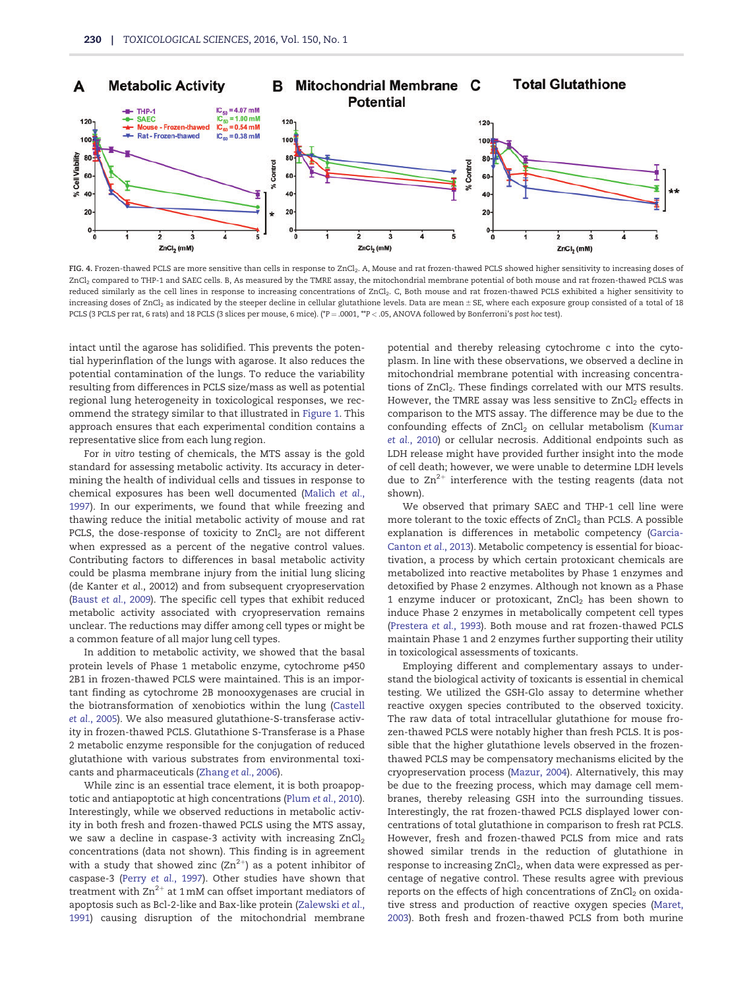<span id="page-5-0"></span>

FIG. 4. Frozen-thawed PCLS are more sensitive than cells in response to ZnCl<sub>2</sub>. A, Mouse and rat frozen-thawed PCLS showed higher sensitivity to increasing doses of ZnCl2 compared to THP-1 and SAEC cells. B, As measured by the TMRE assay, the mitochondrial membrane potential of both mouse and rat frozen-thawed PCLS was reduced similarly as the cell lines in response to increasing concentrations of ZnCl<sub>2</sub>. C, Both mouse and rat frozen-thawed PCLS exhibited a higher sensitivity to increasing doses of ZnCl<sub>2</sub> as indicated by the steeper decline in cellular glutathione levels. Data are mean ± SE, where each exposure group consisted of a total of 18 PCLS (3 PCLS per rat, 6 rats) and 18 PCLS (3 slices per mouse, 6 mice). (\*P = .0001, \*\*P < .05, ANOVA followed by Bonferroni's post hoc test).

intact until the agarose has solidified. This prevents the potential hyperinflation of the lungs with agarose. It also reduces the potential contamination of the lungs. To reduce the variability resulting from differences in PCLS size/mass as well as potential regional lung heterogeneity in toxicological responses, we recommend the strategy similar to that illustrated in [Figure 1](#page-2-0). This approach ensures that each experimental condition contains a representative slice from each lung region.

For in vitro testing of chemicals, the MTS assay is the gold standard for assessing metabolic activity. Its accuracy in determining the health of individual cells and tissues in response to chemical exposures has been well documented ([Malich](#page-7-0) et al., [1997](#page-7-0)). In our experiments, we found that while freezing and thawing reduce the initial metabolic activity of mouse and rat PCLS, the dose-response of toxicity to  $ZnCl<sub>2</sub>$  are not different when expressed as a percent of the negative control values. Contributing factors to differences in basal metabolic activity could be plasma membrane injury from the initial lung slicing (de Kanter et al., 20012) and from subsequent cryopreservation (Baust et al.[, 2009](#page-7-0)). The specific cell types that exhibit reduced metabolic activity associated with cryopreservation remains unclear. The reductions may differ among cell types or might be a common feature of all major lung cell types.

In addition to metabolic activity, we showed that the basal protein levels of Phase 1 metabolic enzyme, cytochrome p450 2B1 in frozen-thawed PCLS were maintained. This is an important finding as cytochrome 2B monooxygenases are crucial in the biotransformation of xenobiotics within the lung ([Castell](#page-7-0) et al.[, 2005\)](#page-7-0). We also measured glutathione-S-transferase activity in frozen-thawed PCLS. Glutathione S-Transferase is a Phase 2 metabolic enzyme responsible for the conjugation of reduced glutathione with various substrates from environmental toxicants and pharmaceuticals ([Zhang](#page-8-0) et al., 2006).

While zinc is an essential trace element, it is both proapoptotic and antiapoptotic at high concentrations (Plum et al.[, 2010](#page-7-0)). Interestingly, while we observed reductions in metabolic activity in both fresh and frozen-thawed PCLS using the MTS assay, we saw a decline in caspase-3 activity with increasing  $ZnCl<sub>2</sub>$ concentrations (data not shown). This finding is in agreement with a study that showed zinc  $(Zn^{2+})$  as a potent inhibitor of caspase-3 (Perry et al.[, 1997](#page-7-0)). Other studies have shown that treatment with  $\text{Zn}^{2+}$  at 1 mM can offset important mediators of apoptosis such as Bcl-2-like and Bax-like protein ([Zalewski](#page-8-0) et al., [1991](#page-8-0)) causing disruption of the mitochondrial membrane

potential and thereby releasing cytochrome c into the cytoplasm. In line with these observations, we observed a decline in mitochondrial membrane potential with increasing concentrations of ZnCl<sub>2</sub>. These findings correlated with our MTS results. However, the TMRE assay was less sensitive to  $ZnCl<sub>2</sub>$  effects in comparison to the MTS assay. The difference may be due to the confounding effects of  $ZnCl<sub>2</sub>$  on cellular metabolism ([Kumar](#page-7-0) et al.[, 2010](#page-7-0)) or cellular necrosis. Additional endpoints such as LDH release might have provided further insight into the mode of cell death; however, we were unable to determine LDH levels due to  $Zn^{2+}$  interference with the testing reagents (data not shown).

We observed that primary SAEC and THP-1 cell line were more tolerant to the toxic effects of  $ZnCl<sub>2</sub>$  than PCLS. A possible explanation is differences in metabolic competency [\(Garcia-](#page-7-0)[Canton](#page-7-0) et al., 2013). Metabolic competency is essential for bioactivation, a process by which certain protoxicant chemicals are metabolized into reactive metabolites by Phase 1 enzymes and detoxified by Phase 2 enzymes. Although not known as a Phase 1 enzyme inducer or protoxicant,  $ZnCl<sub>2</sub>$  has been shown to induce Phase 2 enzymes in metabolically competent cell types ([Prestera](#page-7-0) et al., 1993). Both mouse and rat frozen-thawed PCLS maintain Phase 1 and 2 enzymes further supporting their utility in toxicological assessments of toxicants.

Employing different and complementary assays to understand the biological activity of toxicants is essential in chemical testing. We utilized the GSH-Glo assay to determine whether reactive oxygen species contributed to the observed toxicity. The raw data of total intracellular glutathione for mouse frozen-thawed PCLS were notably higher than fresh PCLS. It is possible that the higher glutathione levels observed in the frozenthawed PCLS may be compensatory mechanisms elicited by the cryopreservation process [\(Mazur, 2004](#page-7-0)). Alternatively, this may be due to the freezing process, which may damage cell membranes, thereby releasing GSH into the surrounding tissues. Interestingly, the rat frozen-thawed PCLS displayed lower concentrations of total glutathione in comparison to fresh rat PCLS. However, fresh and frozen-thawed PCLS from mice and rats showed similar trends in the reduction of glutathione in response to increasing ZnCl<sub>2</sub>, when data were expressed as percentage of negative control. These results agree with previous reports on the effects of high concentrations of  $ZnCl<sub>2</sub>$  on oxidative stress and production of reactive oxygen species [\(Maret,](#page-7-0) [2003](#page-7-0)). Both fresh and frozen-thawed PCLS from both murine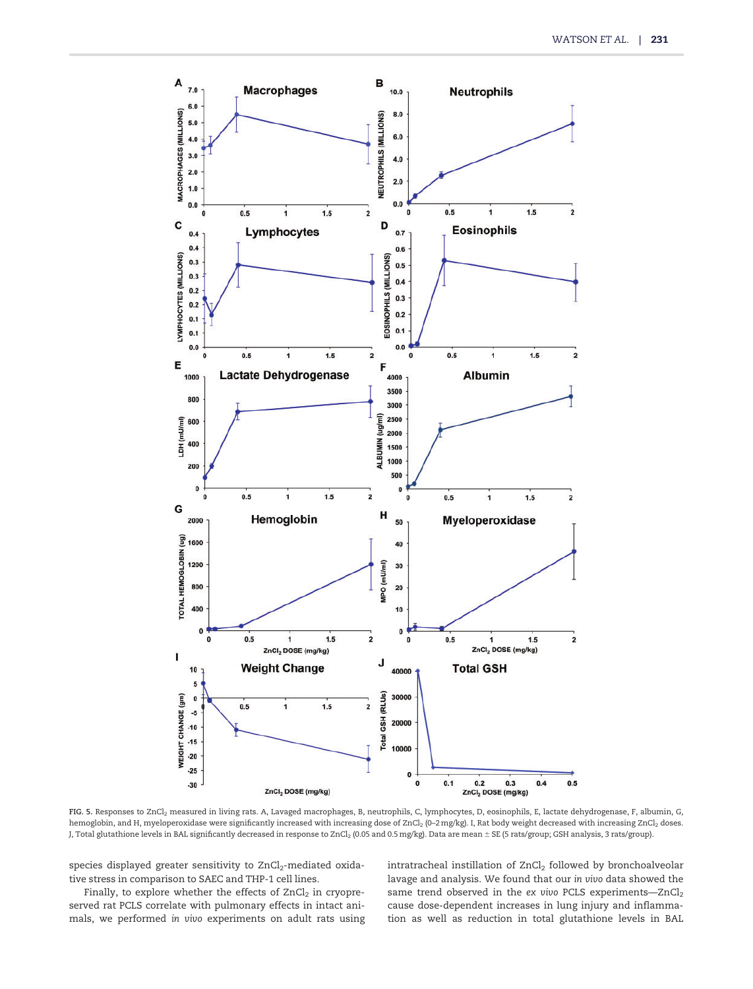<span id="page-6-0"></span>

FIG. 5. Responses to ZnCl2 measured in living rats. A, Lavaged macrophages, B, neutrophils, C, lymphocytes, D, eosinophils, E, lactate dehydrogenase, F, albumin, G, hemoglobin, and H, myeloperoxidase were significantly increased with increasing dose of ZnCl<sub>2</sub> (0-2 mg/kg). I, Rat body weight decreased with increasing ZnCl<sub>2</sub> doses. J, Total glutathione levels in BAL significantly decreased in response to ZnCl<sub>2</sub> (0.05 and 0.5 mg/kg). Data are mean ± SE (5 rats/group; GSH analysis, 3 rats/group).

species displayed greater sensitivity to ZnCl<sub>2</sub>-mediated oxidative stress in comparison to SAEC and THP-1 cell lines.

Finally, to explore whether the effects of  $ZnCl<sub>2</sub>$  in cryopreserved rat PCLS correlate with pulmonary effects in intact animals, we performed in vivo experiments on adult rats using intratracheal instillation of  $ZnCl<sub>2</sub>$  followed by bronchoalveolar lavage and analysis. We found that our in vivo data showed the same trend observed in the ex vivo PCLS experiments—ZnCl<sub>2</sub> cause dose-dependent increases in lung injury and inflammation as well as reduction in total glutathione levels in BAL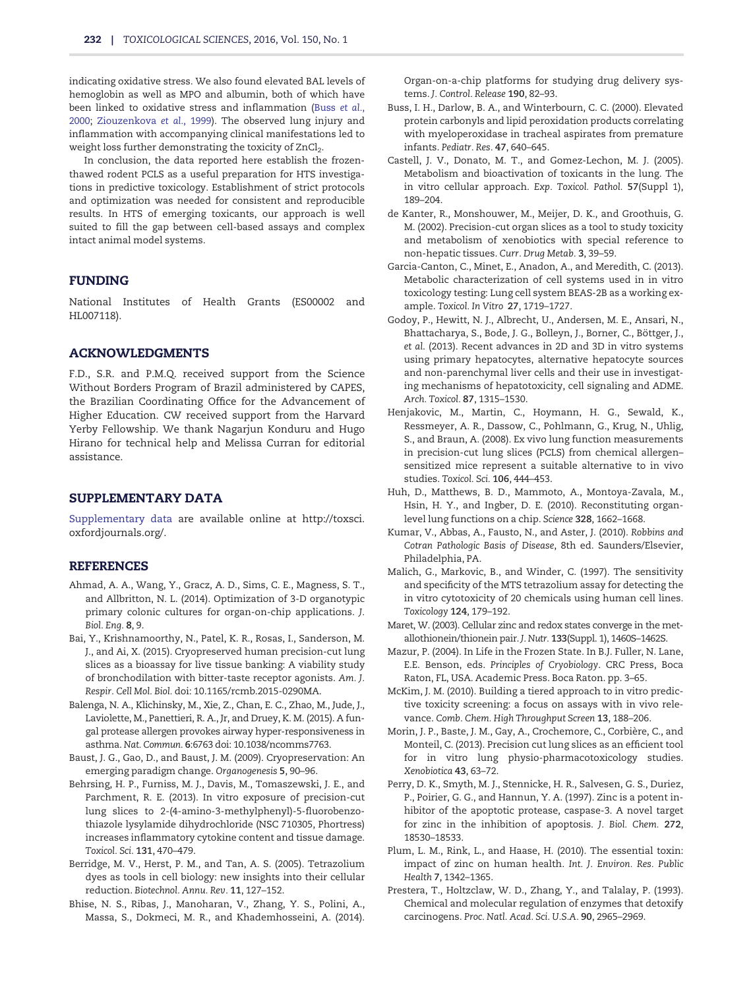<span id="page-7-0"></span>indicating oxidative stress. We also found elevated BAL levels of hemoglobin as well as MPO and albumin, both of which have been linked to oxidative stress and inflammation (Buss et al., 2000; [Ziouzenkova](#page-8-0) et al., 1999). The observed lung injury and inflammation with accompanying clinical manifestations led to weight loss further demonstrating the toxicity of ZnCl<sub>2</sub>.

In conclusion, the data reported here establish the frozenthawed rodent PCLS as a useful preparation for HTS investigations in predictive toxicology. Establishment of strict protocols and optimization was needed for consistent and reproducible results. In HTS of emerging toxicants, our approach is well suited to fill the gap between cell-based assays and complex intact animal model systems.

# FUNDING

National Institutes of Health Grants (ES00002 and HL007118).

## ACKNOWLEDGMENTS

F.D., S.R. and P.M.Q. received support from the Science Without Borders Program of Brazil administered by CAPES, the Brazilian Coordinating Office for the Advancement of Higher Education. CW received support from the Harvard Yerby Fellowship. We thank Nagarjun Konduru and Hugo Hirano for technical help and Melissa Curran for editorial assistance.

## SUPPLEMENTARY DATA

[Supplementary data](http://toxsci.oxfordjournals.org/lookup/suppl/doi:10.1093/toxsci/kfv320/-/DC1) are available online at [http://toxsci.](http://toxsci.oxfordjournals.org/) [oxfordjournals.org/.](http://toxsci.oxfordjournals.org/)

## REFERENCES

- Ahmad, A. A., Wang, Y., Gracz, A. D., Sims, C. E., Magness, S. T., and Allbritton, N. L. (2014). Optimization of 3-D organotypic primary colonic cultures for organ-on-chip applications. J. Biol. Eng. 8, 9.
- Bai, Y., Krishnamoorthy, N., Patel, K. R., Rosas, I., Sanderson, M. J., and Ai, X. (2015). Cryopreserved human precision-cut lung slices as a bioassay for live tissue banking: A viability study of bronchodilation with bitter-taste receptor agonists. Am. J. Respir. Cell Mol. Biol. doi: 10.1165/rcmb.2015-0290MA.
- Balenga, N. A., Klichinsky, M., Xie, Z., Chan, E. C., Zhao, M., Jude, J., Laviolette, M., Panettieri, R. A., Jr, and Druey, K. M. (2015). A fungal protease allergen provokes airway hyper-responsiveness in asthma. Nat. Commun. 6:6763 doi: 10.1038/ncomms7763.
- Baust, J. G., Gao, D., and Baust, J. M. (2009). Cryopreservation: An emerging paradigm change. Organogenesis 5, 90–96.
- Behrsing, H. P., Furniss, M. J., Davis, M., Tomaszewski, J. E., and Parchment, R. E. (2013). In vitro exposure of precision-cut lung slices to 2-(4-amino-3-methylphenyl)-5-fluorobenzothiazole lysylamide dihydrochloride (NSC 710305, Phortress) increases inflammatory cytokine content and tissue damage. Toxicol. Sci. 131, 470–479.
- Berridge, M. V., Herst, P. M., and Tan, A. S. (2005). Tetrazolium dyes as tools in cell biology: new insights into their cellular reduction. Biotechnol. Annu. Rev. 11, 127–152.
- Bhise, N. S., Ribas, J., Manoharan, V., Zhang, Y. S., Polini, A., Massa, S., Dokmeci, M. R., and Khademhosseini, A. (2014).

Organ-on-a-chip platforms for studying drug delivery systems. J. Control. Release 190, 82–93.

- Buss, I. H., Darlow, B. A., and Winterbourn, C. C. (2000). Elevated protein carbonyls and lipid peroxidation products correlating with myeloperoxidase in tracheal aspirates from premature infants. Pediatr. Res. 47, 640–645.
- Castell, J. V., Donato, M. T., and Gomez-Lechon, M. J. (2005). Metabolism and bioactivation of toxicants in the lung. The in vitro cellular approach. Exp. Toxicol. Pathol. 57(Suppl 1), 189–204.
- de Kanter, R., Monshouwer, M., Meijer, D. K., and Groothuis, G. M. (2002). Precision-cut organ slices as a tool to study toxicity and metabolism of xenobiotics with special reference to non-hepatic tissues. Curr. Drug Metab. 3, 39–59.
- Garcia-Canton, C., Minet, E., Anadon, A., and Meredith, C. (2013). Metabolic characterization of cell systems used in in vitro toxicology testing: Lung cell system BEAS-2B as a working example. Toxicol. In Vitro 27, 1719–1727.
- Godoy, P., Hewitt, N. J., Albrecht, U., Andersen, M. E., Ansari, N., Bhattacharya, S., Bode, J. G., Bolleyn, J., Borner, C., Böttger, J., et al. (2013). Recent advances in 2D and 3D in vitro systems using primary hepatocytes, alternative hepatocyte sources and non-parenchymal liver cells and their use in investigating mechanisms of hepatotoxicity, cell signaling and ADME. Arch. Toxicol. 87, 1315–1530.
- Henjakovic, M., Martin, C., Hoymann, H. G., Sewald, K., Ressmeyer, A. R., Dassow, C., Pohlmann, G., Krug, N., Uhlig, S., and Braun, A. (2008). Ex vivo lung function measurements in precision-cut lung slices (PCLS) from chemical allergen– sensitized mice represent a suitable alternative to in vivo studies. Toxicol. Sci. 106, 444–453.
- Huh, D., Matthews, B. D., Mammoto, A., Montoya-Zavala, M., Hsin, H. Y., and Ingber, D. E. (2010). Reconstituting organlevel lung functions on a chip. Science 328, 1662–1668.
- Kumar, V., Abbas, A., Fausto, N., and Aster, J. (2010). Robbins and Cotran Pathologic Basis of Disease, 8th ed. Saunders/Elsevier, Philadelphia, PA.
- Malich, G., Markovic, B., and Winder, C. (1997). The sensitivity and specificity of the MTS tetrazolium assay for detecting the in vitro cytotoxicity of 20 chemicals using human cell lines. Toxicology 124, 179–192.
- Maret, W. (2003). Cellular zinc and redox states converge in the metallothionein/thionein pair. J. Nutr. 133(Suppl. 1), 1460S–1462S.
- Mazur, P. (2004). In Life in the Frozen State. In B.J. Fuller, N. Lane, E.E. Benson, eds. Principles of Cryobiology. CRC Press, Boca Raton, FL, USA. Academic Press. Boca Raton. pp. 3–65.
- McKim, J. M. (2010). Building a tiered approach to in vitro predictive toxicity screening: a focus on assays with in vivo relevance. Comb. Chem. High Throughput Screen 13, 188–206.
- Morin, J. P., Baste, J. M., Gay, A., Crochemore, C., Corbière, C., and Monteil, C. (2013). Precision cut lung slices as an efficient tool for in vitro lung physio-pharmacotoxicology studies. Xenobiotica 43, 63–72.
- Perry, D. K., Smyth, M. J., Stennicke, H. R., Salvesen, G. S., Duriez, P., Poirier, G. G., and Hannun, Y. A. (1997). Zinc is a potent inhibitor of the apoptotic protease, caspase-3. A novel target for zinc in the inhibition of apoptosis. J. Biol. Chem. 272, 18530–18533.
- Plum, L. M., Rink, L., and Haase, H. (2010). The essential toxin: impact of zinc on human health. Int. J. Environ. Res. Public Health 7, 1342–1365.
- Prestera, T., Holtzclaw, W. D., Zhang, Y., and Talalay, P. (1993). Chemical and molecular regulation of enzymes that detoxify carcinogens. Proc. Natl. Acad. Sci. U.S.A. 90, 2965–2969.